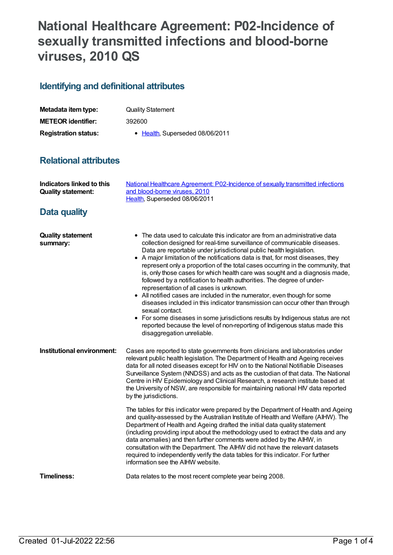# **National Healthcare Agreement: P02-Incidence of sexually transmitted infections and blood-borne viruses, 2010 QS**

# **Identifying and definitional attributes**

| Metadata item type:         | <b>Quality Statement</b>        |
|-----------------------------|---------------------------------|
| <b>METEOR identifier:</b>   | 392600                          |
| <b>Registration status:</b> | • Health, Superseded 08/06/2011 |

## **Relational attributes**

| Indicators linked to this<br><b>Quality statement:</b> | National Healthcare Agreement: P02-Incidence of sexually transmitted infections<br>and blood-borne viruses, 2010<br>Health, Superseded 08/06/2011                                                                                                                                                                                                                                                                                                                                                                                                                                                                                                                                                                                                                                                                                                                                                                                                                                      |
|--------------------------------------------------------|----------------------------------------------------------------------------------------------------------------------------------------------------------------------------------------------------------------------------------------------------------------------------------------------------------------------------------------------------------------------------------------------------------------------------------------------------------------------------------------------------------------------------------------------------------------------------------------------------------------------------------------------------------------------------------------------------------------------------------------------------------------------------------------------------------------------------------------------------------------------------------------------------------------------------------------------------------------------------------------|
| <b>Data quality</b>                                    |                                                                                                                                                                                                                                                                                                                                                                                                                                                                                                                                                                                                                                                                                                                                                                                                                                                                                                                                                                                        |
| <b>Quality statement</b><br>summary:                   | • The data used to calculate this indicator are from an administrative data<br>collection designed for real-time surveillance of communicable diseases.<br>Data are reportable under jurisdictional public health legislation.<br>• A major limitation of the notifications data is that, for most diseases, they<br>represent only a proportion of the total cases occurring in the community, that<br>is, only those cases for which health care was sought and a diagnosis made,<br>followed by a notification to health authorities. The degree of under-<br>representation of all cases is unknown.<br>• All notified cases are included in the numerator, even though for some<br>diseases included in this indicator transmission can occur other than through<br>sexual contact.<br>• For some diseases in some jurisdictions results by Indigenous status are not<br>reported because the level of non-reporting of Indigenous status made this<br>disaggregation unreliable. |
| Institutional environment:                             | Cases are reported to state governments from clinicians and laboratories under<br>relevant public health legislation. The Department of Health and Ageing receives<br>data for all noted diseases except for HIV on to the National Notifiable Diseases<br>Surveillance System (NNDSS) and acts as the custodian of that data. The National<br>Centre in HIV Epidemiology and Clinical Research, a research institute based at<br>the University of NSW, are responsible for maintaining national HIV data reported<br>by the jurisdictions.                                                                                                                                                                                                                                                                                                                                                                                                                                           |
|                                                        | The tables for this indicator were prepared by the Department of Health and Ageing<br>and quality-assessed by the Australian Institute of Health and Welfare (AIHW). The<br>Department of Health and Ageing drafted the initial data quality statement<br>(including providing input about the methodology used to extract the data and any<br>data anomalies) and then further comments were added by the AIHW, in<br>consultation with the Department. The AIHW did not have the relevant datasets<br>required to independently verify the data tables for this indicator. For further<br>information see the AIHW website.                                                                                                                                                                                                                                                                                                                                                          |
| <b>Timeliness:</b>                                     | Data relates to the most recent complete year being 2008.                                                                                                                                                                                                                                                                                                                                                                                                                                                                                                                                                                                                                                                                                                                                                                                                                                                                                                                              |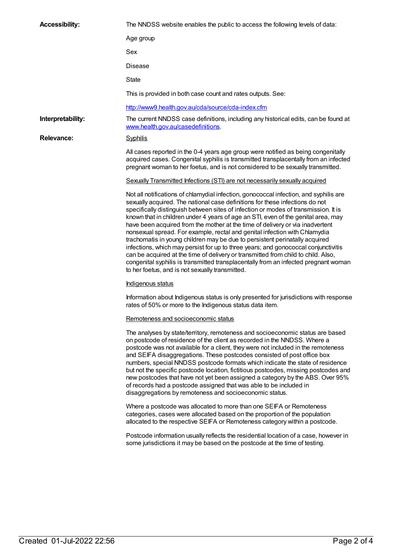| <b>Accessibility:</b> | The NNDSS website enables the public to access the following levels of data:                                                                                                                                                                                                                                                                                                                                                                                                                                                                                                                                                                                                                                                                                                                                                                                                                                         |
|-----------------------|----------------------------------------------------------------------------------------------------------------------------------------------------------------------------------------------------------------------------------------------------------------------------------------------------------------------------------------------------------------------------------------------------------------------------------------------------------------------------------------------------------------------------------------------------------------------------------------------------------------------------------------------------------------------------------------------------------------------------------------------------------------------------------------------------------------------------------------------------------------------------------------------------------------------|
|                       | Age group                                                                                                                                                                                                                                                                                                                                                                                                                                                                                                                                                                                                                                                                                                                                                                                                                                                                                                            |
|                       | Sex                                                                                                                                                                                                                                                                                                                                                                                                                                                                                                                                                                                                                                                                                                                                                                                                                                                                                                                  |
|                       | <b>Disease</b>                                                                                                                                                                                                                                                                                                                                                                                                                                                                                                                                                                                                                                                                                                                                                                                                                                                                                                       |
|                       | State                                                                                                                                                                                                                                                                                                                                                                                                                                                                                                                                                                                                                                                                                                                                                                                                                                                                                                                |
|                       | This is provided in both case count and rates outputs. See:                                                                                                                                                                                                                                                                                                                                                                                                                                                                                                                                                                                                                                                                                                                                                                                                                                                          |
|                       | http://www9.health.gov.au/cda/source/cda-index.cfm                                                                                                                                                                                                                                                                                                                                                                                                                                                                                                                                                                                                                                                                                                                                                                                                                                                                   |
| Interpretability:     | The current NNDSS case definitions, including any historical edits, can be found at<br>www.health.gov.au/casedefinitions.                                                                                                                                                                                                                                                                                                                                                                                                                                                                                                                                                                                                                                                                                                                                                                                            |
| Relevance:            | <b>Syphilis</b>                                                                                                                                                                                                                                                                                                                                                                                                                                                                                                                                                                                                                                                                                                                                                                                                                                                                                                      |
|                       | All cases reported in the 0-4 years age group were notified as being congenitally<br>acquired cases. Congenital syphilis is transmitted transplacentally from an infected<br>pregnant woman to her foetus, and is not considered to be sexually transmitted.                                                                                                                                                                                                                                                                                                                                                                                                                                                                                                                                                                                                                                                         |
|                       | Sexually Transmitted Infections (STI) are not necessarily sexually acquired                                                                                                                                                                                                                                                                                                                                                                                                                                                                                                                                                                                                                                                                                                                                                                                                                                          |
|                       | Not all notifications of chlamydial infection, gonococcal infection, and syphilis are<br>sexually acquired. The national case definitions for these infections do not<br>specifically distinguish between sites of infection or modes of transmission. It is<br>known that in children under 4 years of age an STI, even of the genital area, may<br>have been acquired from the mother at the time of delivery or via inadvertent<br>nonsexual spread. For example, rectal and genital infection with Chlamydia<br>trachomatis in young children may be due to persistent perinatally acquired<br>infections, which may persist for up to three years; and gonococcal conjunctivitis<br>can be acquired at the time of delivery or transmitted from child to child. Also,<br>congenital syphilis is transmitted transplacentally from an infected pregnant woman<br>to her foetus, and is not sexually transmitted. |
|                       | Indigenous status                                                                                                                                                                                                                                                                                                                                                                                                                                                                                                                                                                                                                                                                                                                                                                                                                                                                                                    |
|                       | Information about Indigenous status is only presented for jurisdictions with response<br>rates of 50% or more to the Indigenous status data item.                                                                                                                                                                                                                                                                                                                                                                                                                                                                                                                                                                                                                                                                                                                                                                    |
|                       | Remoteness and socioeconomic status                                                                                                                                                                                                                                                                                                                                                                                                                                                                                                                                                                                                                                                                                                                                                                                                                                                                                  |
|                       | The analyses by state/territory, remoteness and socioeconomic status are based<br>on postcode of residence of the client as recorded in the NNDSS. Where a<br>postcode was not available for a client, they were not included in the remoteness<br>and SEIFA disaggregations. These postcodes consisted of post office box<br>numbers, special NNDSS postcode formats which indicate the state of residence<br>but not the specific postcode location, fictitious postcodes, missing postcodes and<br>new postcodes that have not yet been assigned a category by the ABS. Over 95%<br>of records had a postcode assigned that was able to be included in<br>disaggregations by remoteness and socioeconomic status.                                                                                                                                                                                                 |
|                       | Where a postcode was allocated to more than one SEIFA or Remoteness<br>categories, cases were allocated based on the proportion of the population<br>allocated to the respective SEIFA or Remoteness category within a postcode.                                                                                                                                                                                                                                                                                                                                                                                                                                                                                                                                                                                                                                                                                     |
|                       | Postcode information usually reflects the residential location of a case, however in<br>some jurisdictions it may be based on the postcode at the time of testing.                                                                                                                                                                                                                                                                                                                                                                                                                                                                                                                                                                                                                                                                                                                                                   |
|                       |                                                                                                                                                                                                                                                                                                                                                                                                                                                                                                                                                                                                                                                                                                                                                                                                                                                                                                                      |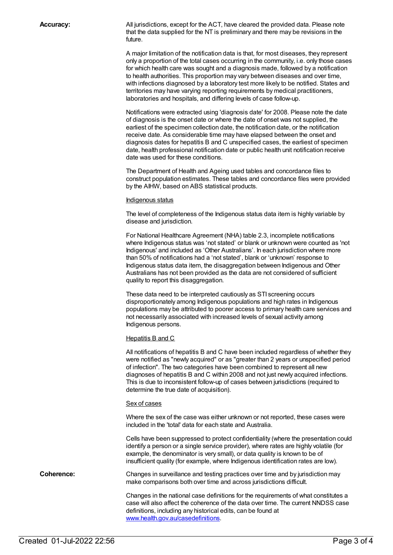**Accuracy:** All jurisdictions, except for the ACT, have cleared the provided data. Please note that the data supplied for the NT is preliminary and there may be revisions in the future.

> A major limitation of the notification data is that, for most diseases, they represent only a proportion of the total cases occurring in the community, i.e. only those cases for which health care was sought and a diagnosis made, followed by a notification to health authorities. This proportion may vary between diseases and over time, with infections diagnosed by a laboratory test more likely to be notified. States and territories may have varying reporting requirements by medical practitioners, laboratories and hospitals, and differing levels of case follow-up.

Notifications were extracted using 'diagnosis date' for 2008. Please note the date of diagnosis is the onset date or where the date of onset was not supplied, the earliest of the specimen collection date, the notification date, or the notification receive date. As considerable time may have elapsed between the onset and diagnosis dates for hepatitis B and C unspecified cases, the earliest of specimen date, health professional notification date or public health unit notification receive date was used for these conditions.

The Department of Health and Ageing used tables and concordance files to construct population estimates. These tables and concordance files were provided by the AIHW, based on ABS statistical products.

#### Indigenous status

The level of completeness of the Indigenous status data item is highly variable by disease and jurisdiction.

For National Healthcare Agreement (NHA) table 2.3, incomplete notifications where Indigenous status was 'not stated' or blank or unknown were counted as 'not Indigenous' and included as 'Other Australians'. In each jurisdiction where more than 50% of notifications had a 'not stated', blank or 'unknown' response to Indigenous status data item, the disaggregation between Indigenous and Other Australians has not been provided as the data are not considered of sufficient quality to report this disaggregation.

These data need to be interpreted cautiously as STI screening occurs disproportionately among Indigenous populations and high rates in Indigenous populations may be attributed to poorer access to primary health care services and not necessarily associated with increased levels of sexual activity among Indigenous persons.

#### Hepatitis B and C

All notifications of hepatitis B and C have been included regardless of whether they were notified as "newly acquired" or as "greater than 2 years or unspecified period of infection". The two categories have been combined to represent all new diagnoses of hepatitis B and C within 2008 and not just newly acquired infections. This is due to inconsistent follow-up of cases between jurisdictions (required to determine the true date of acquisition).

#### Sex of cases

Where the sex of the case was either unknown or not reported, these cases were included in the 'total' data for each state and Australia.

Cells have been suppressed to protect confidentiality (where the presentation could identify a person or a single service provider), where rates are highly volatile (for example, the denominator is very small), or data quality is known to be of insufficient quality (for example, where Indigenous identification rates are low).

**Coherence:** Changes in surveillance and testing practices over time and by jurisdiction may make comparisons both over time and across jurisdictions difficult.

> Changes in the national case definitions for the requirements of what constitutes a case will also affect the coherence of the data over time. The current NNDSS case definitions, including any historical edits, can be found at [www.health.gov.au/casedefinitions](http://www.health.gov.au/casedefinitions).